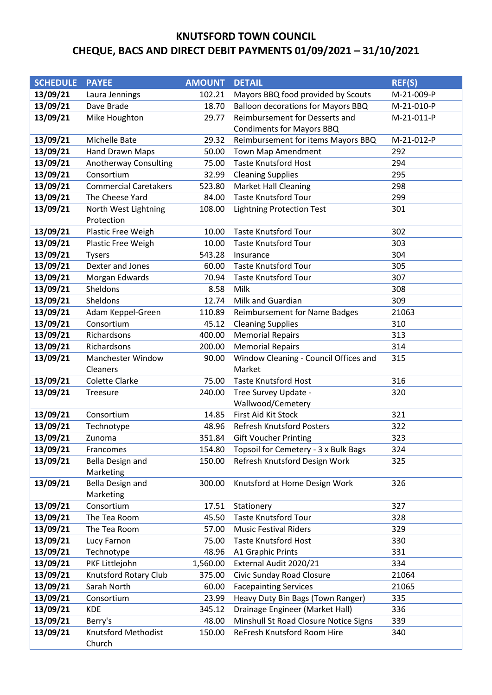| <b>SCHEDULE</b> | <b>PAYEE</b>                  | <b>AMOUNT</b> | <b>DETAIL</b>                             | REF(S)     |
|-----------------|-------------------------------|---------------|-------------------------------------------|------------|
| 13/09/21        | Laura Jennings                | 102.21        | Mayors BBQ food provided by Scouts        | M-21-009-P |
| 13/09/21        | Dave Brade                    | 18.70         | <b>Balloon decorations for Mayors BBQ</b> | M-21-010-P |
| 13/09/21        | Mike Houghton                 | 29.77         | Reimbursement for Desserts and            | M-21-011-P |
|                 |                               |               | <b>Condiments for Mayors BBQ</b>          |            |
| 13/09/21        | Michelle Bate                 | 29.32         | Reimbursement for items Mayors BBQ        | M-21-012-P |
| 13/09/21        | Hand Drawn Maps               | 50.00         | Town Map Amendment                        | 292        |
| 13/09/21        | Anotherway Consulting         | 75.00         | <b>Taste Knutsford Host</b>               | 294        |
| 13/09/21        | Consortium                    | 32.99         | <b>Cleaning Supplies</b>                  | 295        |
| 13/09/21        | <b>Commercial Caretakers</b>  | 523.80        | <b>Market Hall Cleaning</b>               | 298        |
| 13/09/21        | The Cheese Yard               | 84.00         | <b>Taste Knutsford Tour</b>               | 299        |
| 13/09/21        | North West Lightning          | 108.00        | <b>Lightning Protection Test</b>          | 301        |
|                 | Protection                    |               |                                           |            |
| 13/09/21        | Plastic Free Weigh            | 10.00         | <b>Taste Knutsford Tour</b>               | 302        |
| 13/09/21        | Plastic Free Weigh            | 10.00         | <b>Taste Knutsford Tour</b>               | 303        |
| 13/09/21        | <b>Tysers</b>                 | 543.28        | Insurance                                 | 304        |
| 13/09/21        | Dexter and Jones              | 60.00         | <b>Taste Knutsford Tour</b>               | 305        |
| 13/09/21        | Morgan Edwards                | 70.94         | <b>Taste Knutsford Tour</b>               | 307        |
| 13/09/21        | Sheldons                      | 8.58          | Milk                                      | 308        |
| 13/09/21        | Sheldons                      | 12.74         | Milk and Guardian                         | 309        |
| 13/09/21        | Adam Keppel-Green             | 110.89        | <b>Reimbursement for Name Badges</b>      | 21063      |
| 13/09/21        | Consortium                    | 45.12         | <b>Cleaning Supplies</b>                  | 310        |
| 13/09/21        | Richardsons                   | 400.00        | <b>Memorial Repairs</b>                   | 313        |
| 13/09/21        | Richardsons                   | 200.00        | <b>Memorial Repairs</b>                   | 314        |
| 13/09/21        | <b>Manchester Window</b>      | 90.00         | Window Cleaning - Council Offices and     | 315        |
|                 | Cleaners                      |               | Market                                    |            |
| 13/09/21        | <b>Colette Clarke</b>         | 75.00         | <b>Taste Knutsford Host</b>               | 316        |
| 13/09/21        | Treesure                      | 240.00        | Tree Survey Update -                      | 320        |
|                 |                               |               | Wallwood/Cemetery                         |            |
| 13/09/21        | Consortium                    | 14.85         | First Aid Kit Stock                       | 321        |
| 13/09/21        | Technotype                    | 48.96         | <b>Refresh Knutsford Posters</b>          | 322        |
| 13/09/21        | Zunoma                        | 351.84        | <b>Gift Voucher Printing</b>              | 323        |
| 13/09/21        | Francomes                     | 154.80        | Topsoil for Cemetery - 3 x Bulk Bags      | 324        |
| 13/09/21        | Bella Design and              | 150.00        | Refresh Knutsford Design Work             | 325        |
| 13/09/21        | Marketing<br>Bella Design and | 300.00        | Knutsford at Home Design Work             | 326        |
|                 | Marketing                     |               |                                           |            |
| 13/09/21        | Consortium                    | 17.51         | Stationery                                | 327        |
| 13/09/21        | The Tea Room                  | 45.50         | <b>Taste Knutsford Tour</b>               | 328        |
| 13/09/21        | The Tea Room                  | 57.00         | <b>Music Festival Riders</b>              | 329        |
| 13/09/21        | Lucy Farnon                   | 75.00         | <b>Taste Knutsford Host</b>               | 330        |
| 13/09/21        | Technotype                    | 48.96         | A1 Graphic Prints                         | 331        |
| 13/09/21        | PKF Littlejohn                | 1,560.00      | External Audit 2020/21                    | 334        |
| 13/09/21        | Knutsford Rotary Club         | 375.00        | Civic Sunday Road Closure                 | 21064      |
| 13/09/21        | Sarah North                   | 60.00         | <b>Facepainting Services</b>              | 21065      |
| 13/09/21        | Consortium                    | 23.99         | Heavy Duty Bin Bags (Town Ranger)         | 335        |
| 13/09/21        | KDE                           | 345.12        | Drainage Engineer (Market Hall)           | 336        |
| 13/09/21        | Berry's                       | 48.00         | Minshull St Road Closure Notice Signs     | 339        |
| 13/09/21        | Knutsford Methodist           | 150.00        | ReFresh Knutsford Room Hire               | 340        |
|                 | Church                        |               |                                           |            |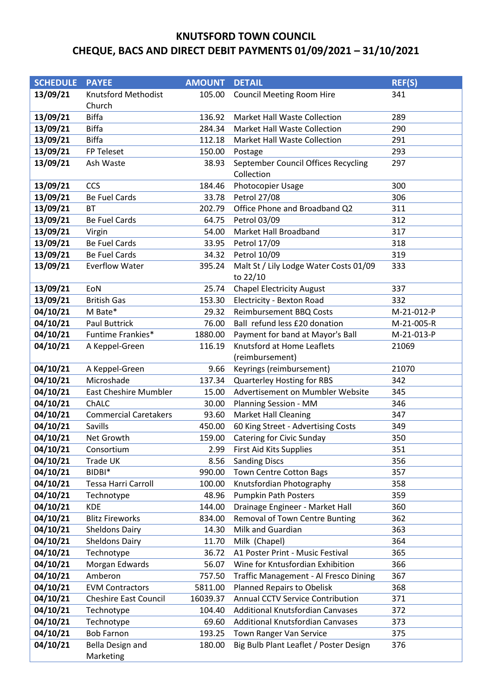| <b>SCHEDULE</b><br><b>PAYEE</b><br><b>AMOUNT</b><br><b>DETAIL</b><br><b>REF(S)</b>                                         |  |
|----------------------------------------------------------------------------------------------------------------------------|--|
| 13/09/21<br>Knutsford Methodist<br>105.00<br><b>Council Meeting Room Hire</b><br>341                                       |  |
| Church                                                                                                                     |  |
| <b>Biffa</b><br>13/09/21<br>136.92<br>Market Hall Waste Collection<br>289                                                  |  |
| <b>Biffa</b><br>13/09/21<br>284.34<br><b>Market Hall Waste Collection</b><br>290                                           |  |
| <b>Biffa</b><br>13/09/21<br>112.18<br>291<br><b>Market Hall Waste Collection</b>                                           |  |
| 13/09/21<br>FP Teleset<br>293<br>150.00<br>Postage                                                                         |  |
| September Council Offices Recycling<br>13/09/21<br>Ash Waste<br>297<br>38.93                                               |  |
| Collection                                                                                                                 |  |
| CCS<br>13/09/21<br>Photocopier Usage<br>300<br>184.46                                                                      |  |
| 13/09/21<br><b>Be Fuel Cards</b><br>Petrol 27/08<br>306<br>33.78                                                           |  |
| 13/09/21<br>Office Phone and Broadband Q2<br><b>BT</b><br>202.79<br>311                                                    |  |
| 13/09/21<br><b>Be Fuel Cards</b><br>64.75<br>Petrol 03/09<br>312                                                           |  |
| Market Hall Broadband<br>13/09/21<br>317<br>Virgin<br>54.00                                                                |  |
| 13/09/21<br><b>Be Fuel Cards</b><br>33.95<br>Petrol 17/09<br>318                                                           |  |
| 13/09/21<br><b>Be Fuel Cards</b><br>Petrol 10/09<br>319<br>34.32                                                           |  |
| 13/09/21<br>395.24<br>Malt St / Lily Lodge Water Costs 01/09<br><b>Everflow Water</b><br>333                               |  |
| to 22/10                                                                                                                   |  |
| 13/09/21<br>EoN<br>25.74<br><b>Chapel Electricity August</b><br>337                                                        |  |
| 13/09/21<br><b>British Gas</b><br>Electricity - Bexton Road<br>332<br>153.30                                               |  |
| 04/10/21<br>M Bate*<br>Reimbursement BBQ Costs<br>M-21-012-P<br>29.32                                                      |  |
| Ball refund less £20 donation<br>04/10/21<br>76.00<br><b>Paul Buttrick</b><br>M-21-005-R                                   |  |
| 04/10/21<br>Funtime Frankies*<br>Payment for band at Mayor's Ball<br>M-21-013-P<br>1880.00                                 |  |
| Knutsford at Home Leaflets<br>04/10/21<br>A Keppel-Green<br>116.19<br>21069                                                |  |
| (reimbursement)                                                                                                            |  |
| Keyrings (reimbursement)<br>04/10/21<br>A Keppel-Green<br>21070<br>9.66                                                    |  |
| 04/10/21<br>Microshade<br>137.34<br><b>Quarterley Hosting for RBS</b><br>342                                               |  |
| 04/10/21<br><b>East Cheshire Mumbler</b><br>Advertisement on Mumbler Website<br>345<br>15.00                               |  |
| 04/10/21<br>ChALC<br>Planning Session - MM<br>346<br>30.00                                                                 |  |
| 04/10/21<br><b>Commercial Caretakers</b><br>93.60<br><b>Market Hall Cleaning</b><br>347                                    |  |
| 04/10/21<br>Savills<br>60 King Street - Advertising Costs<br>450.00<br>349                                                 |  |
| 04/10/21<br>Net Growth<br><b>Catering for Civic Sunday</b><br>159.00<br>350                                                |  |
| 04/10/21<br>Consortium<br>2.99<br>First Aid Kits Supplies<br>351                                                           |  |
| 04/10/21<br>Trade UK<br>8.56<br><b>Sanding Discs</b><br>356                                                                |  |
| 04/10/21<br>BIDBI*<br>990.00<br><b>Town Centre Cotton Bags</b><br>357                                                      |  |
| 04/10/21<br>Tessa Harri Carroll<br>Knutsfordian Photography<br>358<br>100.00                                               |  |
| 04/10/21<br>48.96<br><b>Pumpkin Path Posters</b><br>359<br>Technotype                                                      |  |
| 04/10/21<br><b>KDE</b><br>Drainage Engineer - Market Hall<br>360<br>144.00<br>04/10/21                                     |  |
| <b>Blitz Fireworks</b><br>Removal of Town Centre Bunting<br>362<br>834.00<br>04/10/21<br>Milk and Guardian<br>363<br>14.30 |  |
| <b>Sheldons Dairy</b><br>04/10/21<br><b>Sheldons Dairy</b><br>Milk (Chapel)<br>364<br>11.70                                |  |
| 04/10/21<br>A1 Poster Print - Music Festival<br>Technotype<br>36.72<br>365                                                 |  |
| 04/10/21<br>Morgan Edwards<br>56.07<br>Wine for Kntusfordian Exhibition<br>366                                             |  |
| 04/10/21<br>Amberon<br>367<br>757.50<br>Traffic Management - Al Fresco Dining                                              |  |
| 04/10/21<br><b>Planned Repairs to Obelisk</b><br><b>EVM Contractors</b><br>5811.00<br>368                                  |  |
| 04/10/21<br>Annual CCTV Service Contribution<br><b>Cheshire East Council</b><br>16039.37<br>371                            |  |
| 04/10/21<br><b>Additional Knutsfordian Canvases</b><br>Technotype<br>104.40<br>372                                         |  |
| 04/10/21<br>69.60<br><b>Additional Knutsfordian Canvases</b><br>Technotype<br>373                                          |  |
| 04/10/21<br><b>Bob Farnon</b><br>193.25<br>Town Ranger Van Service<br>375                                                  |  |
| 04/10/21<br>Bella Design and<br>Big Bulb Plant Leaflet / Poster Design<br>180.00<br>376                                    |  |
| Marketing                                                                                                                  |  |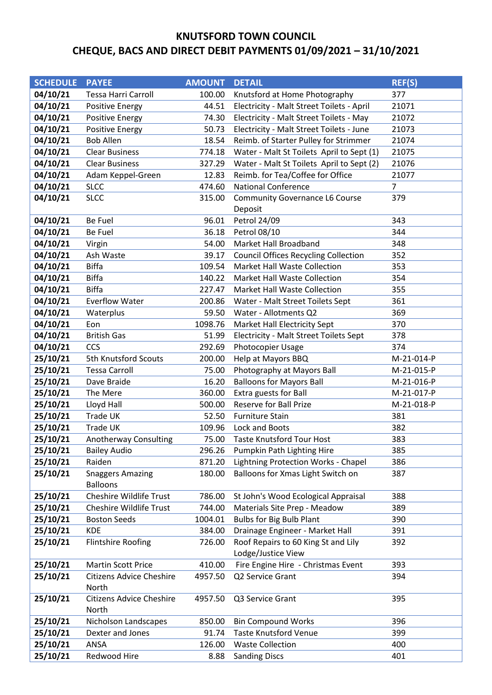| <b>SCHEDULE</b> | <b>PAYEE</b>                    | <b>AMOUNT</b> | <b>DETAIL</b>                                 | REF(S)         |
|-----------------|---------------------------------|---------------|-----------------------------------------------|----------------|
| 04/10/21        | <b>Tessa Harri Carroll</b>      | 100.00        | Knutsford at Home Photography                 | 377            |
| 04/10/21        | <b>Positive Energy</b>          | 44.51         | Electricity - Malt Street Toilets - April     | 21071          |
| 04/10/21        | <b>Positive Energy</b>          | 74.30         | Electricity - Malt Street Toilets - May       | 21072          |
| 04/10/21        | <b>Positive Energy</b>          | 50.73         | Electricity - Malt Street Toilets - June      | 21073          |
| 04/10/21        | <b>Bob Allen</b>                | 18.54         | Reimb. of Starter Pulley for Strimmer         | 21074          |
| 04/10/21        | <b>Clear Business</b>           | 774.18        | Water - Malt St Toilets April to Sept (1)     | 21075          |
| 04/10/21        | <b>Clear Business</b>           | 327.29        | Water - Malt St Toilets April to Sept (2)     | 21076          |
| 04/10/21        | Adam Keppel-Green               | 12.83         | Reimb. for Tea/Coffee for Office              | 21077          |
| 04/10/21        | <b>SLCC</b>                     | 474.60        | <b>National Conference</b>                    | $\overline{7}$ |
| 04/10/21        | <b>SLCC</b>                     | 315.00        | <b>Community Governance L6 Course</b>         | 379            |
|                 |                                 |               | Deposit                                       |                |
| 04/10/21        | <b>Be Fuel</b>                  | 96.01         | Petrol 24/09                                  | 343            |
| 04/10/21        | <b>Be Fuel</b>                  | 36.18         | Petrol 08/10                                  | 344            |
| 04/10/21        | Virgin                          | 54.00         | Market Hall Broadband                         | 348            |
| 04/10/21        | Ash Waste                       | 39.17         | <b>Council Offices Recycling Collection</b>   | 352            |
| 04/10/21        | <b>Biffa</b>                    | 109.54        | <b>Market Hall Waste Collection</b>           | 353            |
| 04/10/21        | <b>Biffa</b>                    | 140.22        | <b>Market Hall Waste Collection</b>           | 354            |
| 04/10/21        | <b>Biffa</b>                    | 227.47        | <b>Market Hall Waste Collection</b>           | 355            |
| 04/10/21        | <b>Everflow Water</b>           | 200.86        | Water - Malt Street Toilets Sept              | 361            |
| 04/10/21        | Waterplus                       | 59.50         | Water - Allotments Q2                         | 369            |
| 04/10/21        | Eon                             | 1098.76       | <b>Market Hall Electricity Sept</b>           | 370            |
| 04/10/21        | <b>British Gas</b>              | 51.99         | <b>Electricity - Malt Street Toilets Sept</b> | 378            |
| 04/10/21        | CCS                             | 292.69        | Photocopier Usage                             | 374            |
| 25/10/21        | 5th Knutsford Scouts            | 200.00        | Help at Mayors BBQ                            | M-21-014-P     |
| 25/10/21        | <b>Tessa Carroll</b>            | 75.00         | Photography at Mayors Ball                    | M-21-015-P     |
| 25/10/21        | Dave Braide                     | 16.20         | <b>Balloons for Mayors Ball</b>               | M-21-016-P     |
| 25/10/21        | The Mere                        | 360.00        | Extra guests for Ball                         | M-21-017-P     |
| 25/10/21        | Lloyd Hall                      | 500.00        | <b>Reserve for Ball Prize</b>                 | M-21-018-P     |
| 25/10/21        | Trade UK                        | 52.50         | <b>Furniture Stain</b>                        | 381            |
| 25/10/21        | Trade UK                        | 109.96        | Lock and Boots                                | 382            |
| 25/10/21        | Anotherway Consulting           | 75.00         | <b>Taste Knutsford Tour Host</b>              | 383            |
| 25/10/21        | <b>Bailey Audio</b>             | 296.26        | Pumpkin Path Lighting Hire                    | 385            |
| 25/10/21        | Raiden                          | 871.20        | Lightning Protection Works - Chapel           | 386            |
| 25/10/21        | <b>Snaggers Amazing</b>         | 180.00        | Balloons for Xmas Light Switch on             | 387            |
|                 | <b>Balloons</b>                 |               |                                               |                |
| 25/10/21        | Cheshire Wildlife Trust         | 786.00        | St John's Wood Ecological Appraisal           | 388            |
| 25/10/21        | Cheshire Wildlife Trust         | 744.00        | Materials Site Prep - Meadow                  | 389            |
| 25/10/21        | <b>Boston Seeds</b>             | 1004.01       | <b>Bulbs for Big Bulb Plant</b>               | 390            |
| 25/10/21        | <b>KDE</b>                      | 384.00        | Drainage Engineer - Market Hall               | 391            |
| 25/10/21        | <b>Flintshire Roofing</b>       | 726.00        | Roof Repairs to 60 King St and Lily           | 392            |
|                 |                                 |               | Lodge/Justice View                            |                |
| 25/10/21        | <b>Martin Scott Price</b>       | 410.00        | Fire Engine Hire - Christmas Event            | 393            |
| 25/10/21        | <b>Citizens Advice Cheshire</b> | 4957.50       | Q2 Service Grant                              | 394            |
|                 | North                           |               |                                               |                |
| 25/10/21        | <b>Citizens Advice Cheshire</b> | 4957.50       | Q3 Service Grant                              | 395            |
|                 | North                           |               |                                               |                |
| 25/10/21        | Nicholson Landscapes            | 850.00        | <b>Bin Compound Works</b>                     | 396            |
| 25/10/21        | Dexter and Jones                | 91.74         | <b>Taste Knutsford Venue</b>                  | 399            |
| 25/10/21        | ANSA                            | 126.00        | <b>Waste Collection</b>                       | 400            |
| 25/10/21        | Redwood Hire                    | 8.88          | <b>Sanding Discs</b>                          | 401            |